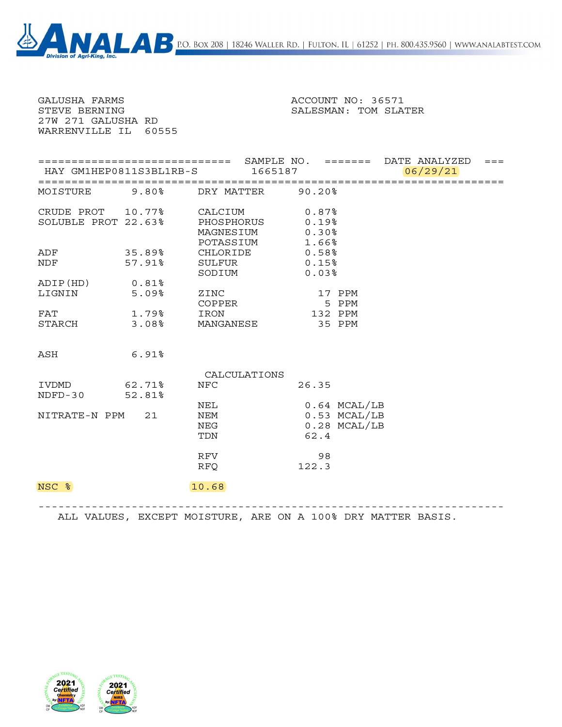| 27W 271 GALUSHA RD<br>WARRENVILLE IL 60555 |                         |                         |                |          |         |
|--------------------------------------------|-------------------------|-------------------------|----------------|----------|---------|
|                                            | HAY GM1HEP0811S3BL1RB-S | 1665187                 |                | 06/29/21 | $= = =$ |
| MOISTURE                                   |                         | 9.80% DRY MATTER 90.20% |                |          |         |
| CRUDE PROT 10.77%                          |                         | CALCIUM                 | $0.87\%$       |          |         |
| SOLUBLE PROT 22.63%                        |                         | PHOSPHORUS              | 0.19%          |          |         |
|                                            |                         | MAGNESIUM               | 0.30%          |          |         |
|                                            |                         | POTASSIUM               | 1.66%          |          |         |
| ADF                                        | 35.89%                  | CHLORIDE                | 0.58%          |          |         |
| NDF                                        | 57.91%                  | SULFUR                  | 0.15%          |          |         |
|                                            |                         | SODIUM                  | 0.03%          |          |         |
| ADIP(HD)<br>LIGNIN                         | 0.81%<br>5.09%          |                         | 17 PPM         |          |         |
|                                            |                         | ZINC<br>COPPER          | 5 PPM          |          |         |
| FAT                                        | 1.79%                   | IRON                    | 132 PPM        |          |         |
| STARCH                                     | 3.08%                   | MANGANESE               | 35 PPM         |          |         |
|                                            |                         |                         |                |          |         |
| ASH                                        | 6.91%                   |                         |                |          |         |
|                                            |                         | CALCULATIONS            |                |          |         |
| IVDMD                                      | 62.71%                  | <b>NFC</b>              | 26.35          |          |         |
| NDFD-30                                    | 52.81%                  |                         |                |          |         |
|                                            |                         | NEL                     | $0.64$ MCAL/LB |          |         |
| NITRATE-N PPM 21                           |                         | NEM                     | 0.53 MCAL/LB   |          |         |
|                                            |                         | NEG                     | $0.28$ MCAL/LB |          |         |
|                                            |                         | TDN                     | 62.4           |          |         |
|                                            |                         | RFV                     | 98             |          |         |
|                                            |                         | <b>RFQ</b>              | 122.3          |          |         |
| NSC %                                      |                         | 10.68                   |                |          |         |

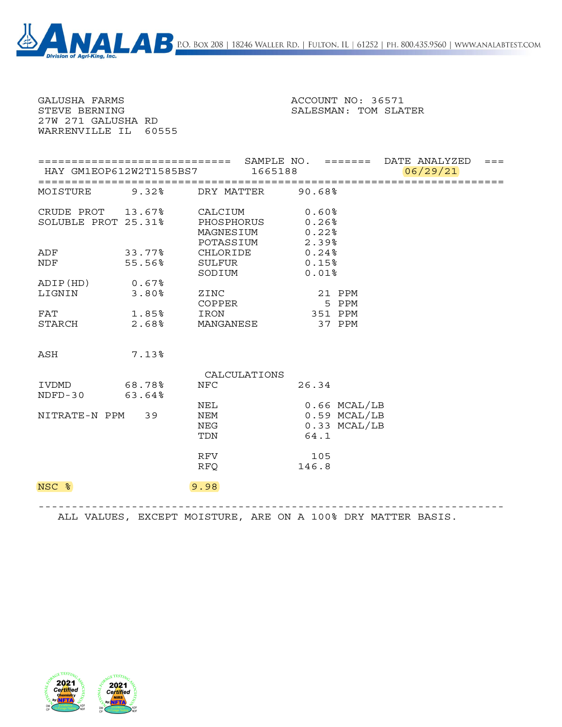| GALUSHA FARMS<br>STEVE BERNING<br>27W 271 GALUSHA RD<br>WARRENVILLE IL 60555 |                         |                                                 | ACCOUNT NO: 36571<br>SALESMAN: TOM SLATER                |          |  |
|------------------------------------------------------------------------------|-------------------------|-------------------------------------------------|----------------------------------------------------------|----------|--|
|                                                                              | HAY GM1EOP612W2T1585BS7 | 1665188                                         |                                                          | 06/29/21 |  |
| MOISTURE                                                                     |                         | 9.32% DRY MATTER 90.68%                         |                                                          |          |  |
| SOLUBLE PROT 25.31%                                                          | CRUDE PROT $13.67$ %    | CALCIUM<br>PHOSPHORUS<br>MAGNESIUM<br>POTASSIUM | $0.60\%$<br>$0.26\%$<br>0.22%<br>2.39%                   |          |  |
| ADF<br>NDF                                                                   | 33.77%<br>55.56%        | CHLORIDE<br>SULFUR<br>SODIUM                    | 0.24%<br>0.15%<br>0.01%                                  |          |  |
| ADIP(HD) 0.67%<br>LIGNIN                                                     | 3.80%                   | ZINC<br>COPPER                                  | 21 PPM<br>5 PPM                                          |          |  |
| FAT<br>STARCH 2.68%                                                          | 1.85%                   | IRON<br>MANGANESE                               | 351 PPM<br>37 PPM                                        |          |  |
| ASH                                                                          | 7.13%                   |                                                 |                                                          |          |  |
|                                                                              |                         | CALCULATIONS                                    |                                                          |          |  |
| IVDMD<br>NDFD-30 63.64%                                                      | 68.78%                  | <b>NFC</b>                                      | 26.34                                                    |          |  |
| NITRATE-N PPM 39                                                             |                         | NEL<br>NEM<br>NEG<br>TDN                        | $0.66$ MCAL/LB<br>$0.59$ MCAL/LB<br>0.33 MCAL/LB<br>64.1 |          |  |
|                                                                              |                         | RFV<br><b>RFQ</b>                               | 105<br>146.8                                             |          |  |
| NSC %                                                                        |                         | 9.98                                            |                                                          |          |  |

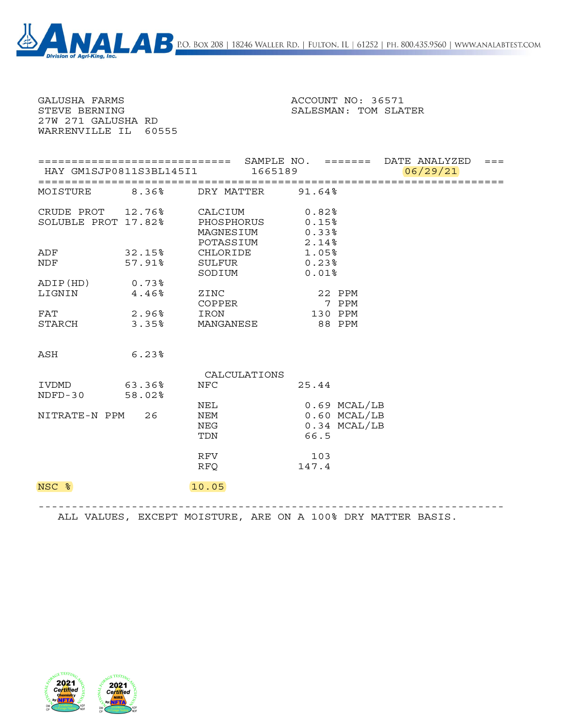| GALUSHA FARMS<br>STEVE BERNING<br>27W 271 GALUSHA RD | WARRENVILLE IL 60555 |                                                 | ACCOUNT NO: 36571<br>SALESMAN: TOM SLATER                  |          |         |
|------------------------------------------------------|----------------------|-------------------------------------------------|------------------------------------------------------------|----------|---------|
|                                                      |                      | HAY GM1SJP0811S3BL145I1 1665189                 |                                                            | 06/29/21 | $= = =$ |
| MOISTURE                                             |                      | 8.36% DRY MATTER 91.64%                         |                                                            |          |         |
| SOLUBLE PROT 17.82%                                  | CRUDE PROT 12.76%    | CALCIUM<br>PHOSPHORUS<br>MAGNESIUM<br>POTASSIUM | $0.82\$<br>0.15%<br>0.33%<br>2.14%                         |          |         |
| ADF<br>NDF                                           | 32.15%<br>57.91%     | CHLORIDE<br>SULFUR<br>SODIUM                    | 1.05%<br>$0.23\%$<br>0.01%                                 |          |         |
| ADIP(HD) 0.73%<br>LIGNIN                             | 4.46%                | ZINC<br>COPPER                                  | 22 PPM<br>7 PPM                                            |          |         |
| FAT<br>STARCH 3.35%                                  | 2.96%                | IRON<br>MANGANESE                               | 130 PPM<br>88 PPM                                          |          |         |
| ASH                                                  | 6.23%                |                                                 |                                                            |          |         |
|                                                      |                      | CALCULATIONS                                    |                                                            |          |         |
| IVDMD<br>NDFD-30 58.02%                              | 63.36%               | <b>NFC</b>                                      | 25.44                                                      |          |         |
| NITRATE-N PPM 26                                     |                      | NEL<br>NEM<br>NEG<br>TDN                        | $0.69$ MCAL/LB<br>$0.60$ MCAL/LB<br>$0.34$ MCAL/LB<br>66.5 |          |         |
|                                                      |                      | RFV<br><b>RFQ</b>                               | 103<br>147.4                                               |          |         |
| NSC %                                                |                      | 10.05                                           |                                                            |          |         |

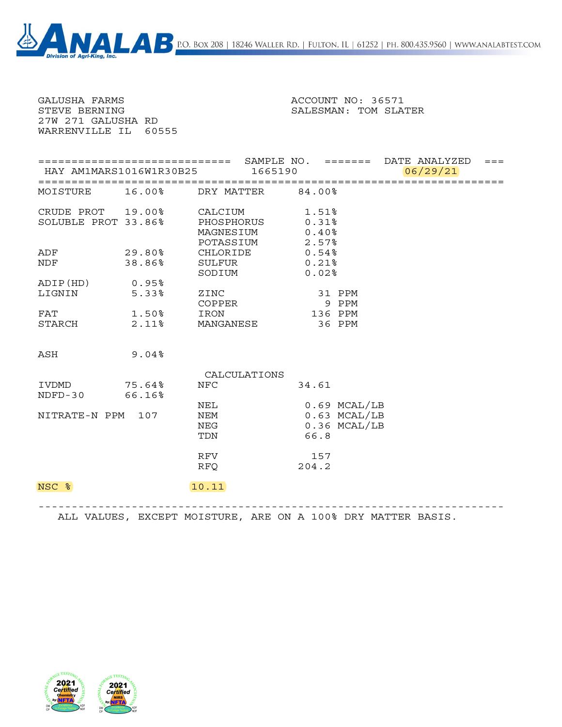| GALUSHA FARMS<br>STEVE BERNING<br>27W 271 GALUSHA RD<br>WARRENVILLE IL 60555 |                         |                                                 | ACCOUNT NO: 36571<br>SALESMAN: TOM SLATER                |          |         |
|------------------------------------------------------------------------------|-------------------------|-------------------------------------------------|----------------------------------------------------------|----------|---------|
|                                                                              | HAY AM1MARS1016W1R30B25 | 1665190                                         |                                                          | 06/29/21 | $= = =$ |
|                                                                              |                         | MOISTURE 16.00% DRY MATTER 84.00%               |                                                          |          |         |
| SOLUBLE PROT 33.86%                                                          | CRUDE PROT 19.00%       | CALCIUM<br>PHOSPHORUS<br>MAGNESIUM<br>POTASSIUM | 1.51%<br>0.31%<br>0.40%<br>2.57%                         |          |         |
| ADF<br>NDF                                                                   | 29.80%<br>38.86%        | CHLORIDE<br>SULFUR<br>SODIUM                    | $0.54\%$<br>0.21%<br>0.02%                               |          |         |
| ADIP(HD) 0.95%<br>LIGNIN                                                     | 5.33%                   | ZINC<br>COPPER                                  | 31 PPM<br>9 PPM                                          |          |         |
| FAT<br>STARCH                                                                | 1.50%<br>2.11%          | IRON<br>MANGANESE                               | 136 PPM<br>36 PPM                                        |          |         |
| ASH                                                                          | $9.04\%$                |                                                 |                                                          |          |         |
|                                                                              |                         | CALCULATIONS                                    |                                                          |          |         |
| IVDMD<br>NDFD-30 66.16%                                                      | 75.64%                  | <b>NFC</b>                                      | 34.61                                                    |          |         |
| NITRATE-N PPM 107                                                            |                         | NEL<br>NEM<br>NEG<br>TDN                        | $0.69$ MCAL/LB<br>$0.63$ MCAL/LB<br>0.36 MCAL/LB<br>66.8 |          |         |
|                                                                              |                         | RFV<br><b>RFQ</b>                               | 157<br>204.2                                             |          |         |
| NSC %                                                                        |                         | 10.11                                           |                                                          |          |         |

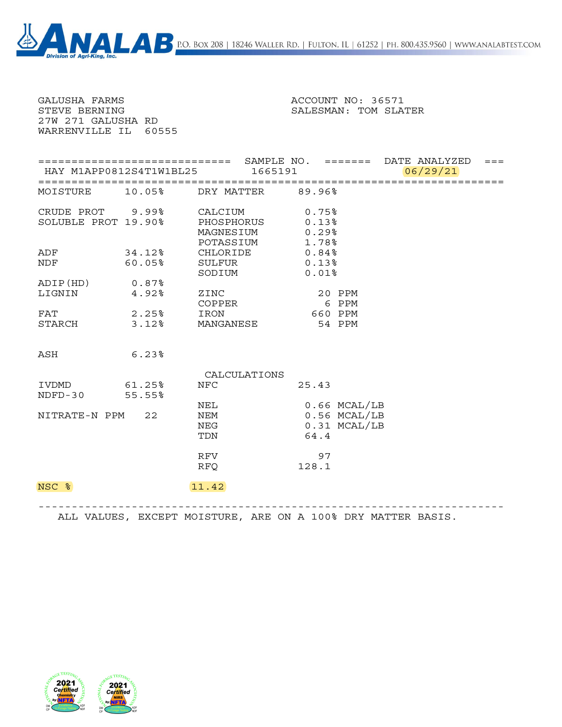| GALUSHA FARMS                                                                                                                |       |                                                                  | ACCOUNT NO: 36571                                        |
|------------------------------------------------------------------------------------------------------------------------------|-------|------------------------------------------------------------------|----------------------------------------------------------|
| STEVE BERNING<br>27W 271 GALUSHA RD<br>WARRENVILLE IL 60555                                                                  |       |                                                                  | SALESMAN: TOM SLATER                                     |
|                                                                                                                              |       | HAY M1APP0812S4T1W1BL25 1665191                                  | 06/29/21                                                 |
|                                                                                                                              |       | MOISTURE 10.05% DRY MATTER 89.96%                                |                                                          |
| SOLUBLE PROT 19.90%                                                                                                          |       | CRUDE PROT 9.99% CALCIUM<br>PHOSPHORUS<br>MAGNESIUM<br>POTASSIUM | 0.75%<br>0.13%<br>0.29%<br>1.78%                         |
| ADF 34.12%<br>NDF FOR THE STATE OF THE STATE OF THE STATE OF THE STATE OF THE STATE OF THE STATE OF THE STATE OF THE STATE O |       | CHLORIDE 0.84%<br>60.05% SULFUR 0.13%<br>SODIUM                  | $0.01$ %                                                 |
| ADIP(HD) 0.87%<br>LIGNIN                                                                                                     | 4.92% | ZINC<br>COPPER                                                   | 20 PPM<br>6 PPM                                          |
|                                                                                                                              |       | FAT 2.25% IRON<br>STARCH 3.12% MANGANESE 54 PPM                  | 660 PPM                                                  |
| ASH                                                                                                                          | 6.23% |                                                                  |                                                          |
| IVDMD 61.25%<br>NDFD-30 55.55%                                                                                               |       | CALCULATIONS<br><b>NFC</b>                                       | 25.43                                                    |
| NITRATE-N PPM 22                                                                                                             |       | NEL<br>NEM<br>NEG<br>TDN                                         | $0.66$ MCAL/LB<br>$0.56$ MCAL/LB<br>0.31 MCAL/LB<br>64.4 |
|                                                                                                                              |       | RFV<br><b>RFQ</b>                                                | 97<br>128.1                                              |
| NSC %                                                                                                                        |       | 11.42                                                            |                                                          |

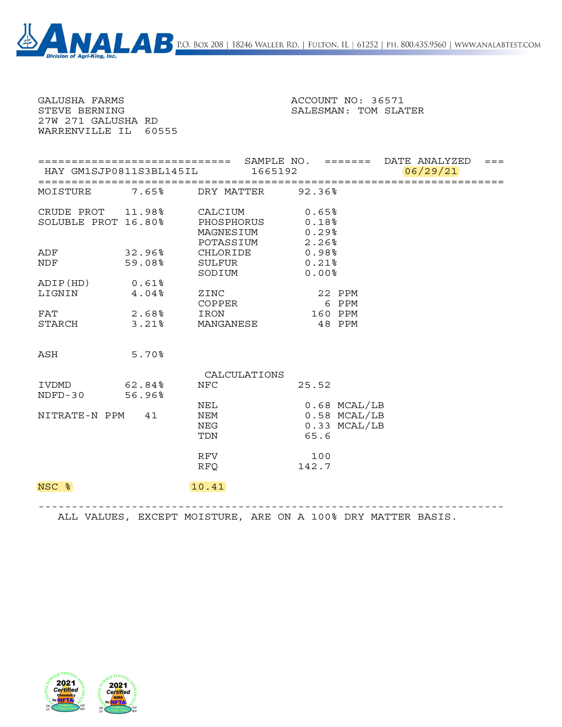| GALUSHA FARMS<br>STEVE BERNING<br>27W 271 GALUSHA RD<br>WARRENVILLE IL 60555 |                  | ACCOUNT NO: 36571<br>SALESMAN: TOM SLATER       |                                                          |          |         |
|------------------------------------------------------------------------------|------------------|-------------------------------------------------|----------------------------------------------------------|----------|---------|
|                                                                              |                  | HAY GM1SJP0811S3BL145IL 1665192                 |                                                          | 06/29/21 | $= = =$ |
| MOISTURE                                                                     |                  | 7.65% DRY MATTER 92.36%                         |                                                          |          |         |
| CRUDE PROT 11.98%<br>SOLUBLE PROT 16.80%                                     |                  | CALCIUM<br>PHOSPHORUS<br>MAGNESIUM<br>POTASSIUM | 0.65%<br>0.18%<br>0.29%<br>2.26%                         |          |         |
| ADF<br>NDF                                                                   | 32.96%<br>59.08% | CHLORIDE<br>SULFUR<br>SODIUM                    | 0.98%<br>0.21%<br>0.00%                                  |          |         |
| ADIP(HD) 0.61%<br>LIGNIN                                                     | 4.04%            | ZINC<br>COPPER                                  | 22 PPM<br>6 PPM                                          |          |         |
| FAT<br>STARCH 3.21%                                                          | 2.68%            | IRON<br>MANGANESE                               | 160 PPM<br>48 PPM                                        |          |         |
| ASH                                                                          | 5.70%            |                                                 |                                                          |          |         |
|                                                                              |                  | CALCULATIONS                                    |                                                          |          |         |
| IVDMD<br>NDFD-30 56.96%                                                      | 62.84%           | <b>NFC</b>                                      | 25.52                                                    |          |         |
| NITRATE-N PPM 41                                                             |                  | NEL<br>NEM<br>NEG<br>TDN                        | $0.68$ MCAL/LB<br>$0.58$ MCAL/LB<br>0.33 MCAL/LB<br>65.6 |          |         |
|                                                                              |                  | RFV<br><b>RFQ</b>                               | 100<br>142.7                                             |          |         |
| NSC %                                                                        |                  | 10.41                                           |                                                          |          |         |

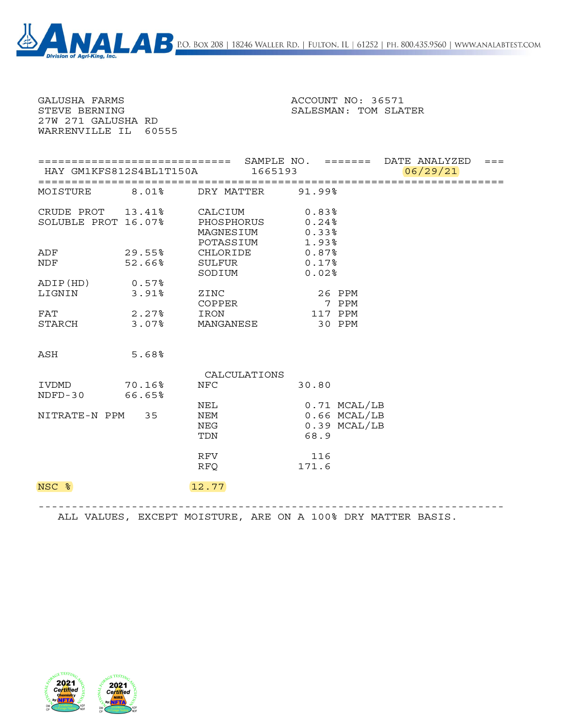| WARRENVILLE IL 60555 |                         |                         |          |                |          | $= = =$ |
|----------------------|-------------------------|-------------------------|----------|----------------|----------|---------|
|                      | HAY GM1KFS812S4BL1T150A | 1665193                 |          |                | 06/29/21 |         |
| MOISTURE             |                         | 8.01% DRY MATTER 91.99% |          |                |          |         |
|                      | CRUDE PROT 13.41%       | CALCIUM                 | $0.83\%$ |                |          |         |
| SOLUBLE PROT 16.07%  |                         | PHOSPHORUS              | 0.24%    |                |          |         |
|                      |                         | MAGNESIUM               | 0.33%    |                |          |         |
|                      |                         | POTASSIUM               | 1.93%    |                |          |         |
| ADF                  | 29.55%                  | CHLORIDE                | 0.87%    |                |          |         |
| NDF                  | 52.66%                  | SULFUR                  | 0.17%    |                |          |         |
|                      |                         | SODIUM                  | 0.02%    |                |          |         |
| ADIP(HD)             | 0.57%                   |                         |          |                |          |         |
| LIGNIN               | 3.91%                   | ZINC<br>COPPER          | 7 PPM    | 26 PPM         |          |         |
| FAT                  | 2.27%                   | IRON                    | 117 PPM  |                |          |         |
| STARCH               | 3.07%                   | MANGANESE               | 30 PPM   |                |          |         |
|                      |                         |                         |          |                |          |         |
| ASH                  | 5.68%                   |                         |          |                |          |         |
|                      |                         | CALCULATIONS            |          |                |          |         |
| IVDMD                | 70.16%                  | <b>NFC</b>              | 30.80    |                |          |         |
| $NDFD-30$            | 66.65%                  |                         |          |                |          |         |
|                      |                         | NEL                     |          | 0.71 MCAL/LB   |          |         |
| NITRATE-N PPM 35     |                         | NEM                     |          | $0.66$ MCAL/LB |          |         |
|                      |                         | NEG                     |          | $0.39$ MCAL/LB |          |         |
|                      |                         | TDN                     | 68.9     |                |          |         |
|                      |                         | RFV                     | 116      |                |          |         |
|                      |                         | <b>RFQ</b>              | 171.6    |                |          |         |
| NSC %                |                         | 12.77                   |          |                |          |         |

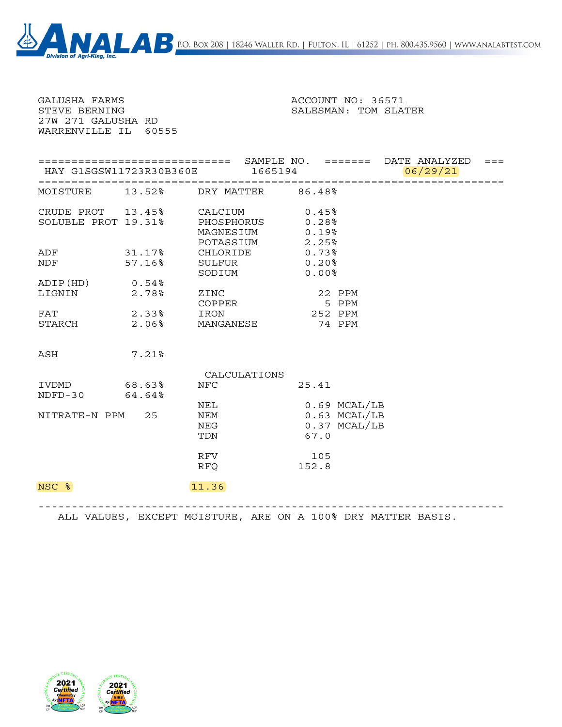| HAY G1SGSW11723R30B360E 1665194 |                                                                                                                |                                                                    |                                                                                          |                                                                                                                                                                                 |                                                    |
|---------------------------------|----------------------------------------------------------------------------------------------------------------|--------------------------------------------------------------------|------------------------------------------------------------------------------------------|---------------------------------------------------------------------------------------------------------------------------------------------------------------------------------|----------------------------------------------------|
|                                 |                                                                                                                |                                                                    |                                                                                          | 06/29/21                                                                                                                                                                        |                                                    |
|                                 |                                                                                                                |                                                                    |                                                                                          |                                                                                                                                                                                 |                                                    |
|                                 |                                                                                                                |                                                                    |                                                                                          |                                                                                                                                                                                 |                                                    |
| 57.16%                          | SULFUR                                                                                                         |                                                                    |                                                                                          |                                                                                                                                                                                 |                                                    |
|                                 | ZINC                                                                                                           |                                                                    |                                                                                          |                                                                                                                                                                                 |                                                    |
|                                 | IRON                                                                                                           |                                                                    |                                                                                          |                                                                                                                                                                                 |                                                    |
| $7.21\%$                        |                                                                                                                |                                                                    |                                                                                          |                                                                                                                                                                                 |                                                    |
|                                 |                                                                                                                |                                                                    |                                                                                          |                                                                                                                                                                                 |                                                    |
|                                 | NFC                                                                                                            |                                                                    |                                                                                          |                                                                                                                                                                                 |                                                    |
|                                 | NEM<br>NEG<br>TDN                                                                                              |                                                                    |                                                                                          |                                                                                                                                                                                 |                                                    |
|                                 | RFV<br>RFQ                                                                                                     |                                                                    |                                                                                          |                                                                                                                                                                                 |                                                    |
|                                 | 11.36                                                                                                          |                                                                    |                                                                                          |                                                                                                                                                                                 |                                                    |
|                                 | SOLUBLE PROT 19.31%<br>ADIP(HD) 0.54%<br>2.78%<br>STARCH 2.06%<br>68.63%<br>NDFD-30 64.64%<br>NITRATE-N PPM 25 | CRUDE PROT $13.45\%$<br>31.17%<br>SODIUM<br>COPPER<br>2.33%<br>NEL | CALCIUM<br>PHOSPHORUS<br>MAGNESIUM<br>POTASSIUM<br>CHLORIDE<br>MANGANESE<br>CALCULATIONS | MOISTURE 13.52% DRY MATTER 86.48%<br>0.45%<br>$0.28\%$<br>0.19%<br>2.25%<br>0.73%<br>$0.20$ %<br>0.00%<br>22 PPM<br>5 PPM<br>252 PPM<br>74 PPM<br>25.41<br>67.0<br>105<br>152.8 | $0.69$ MCAL/LB<br>$0.63$ MCAL/LB<br>$0.37$ MCAL/LB |

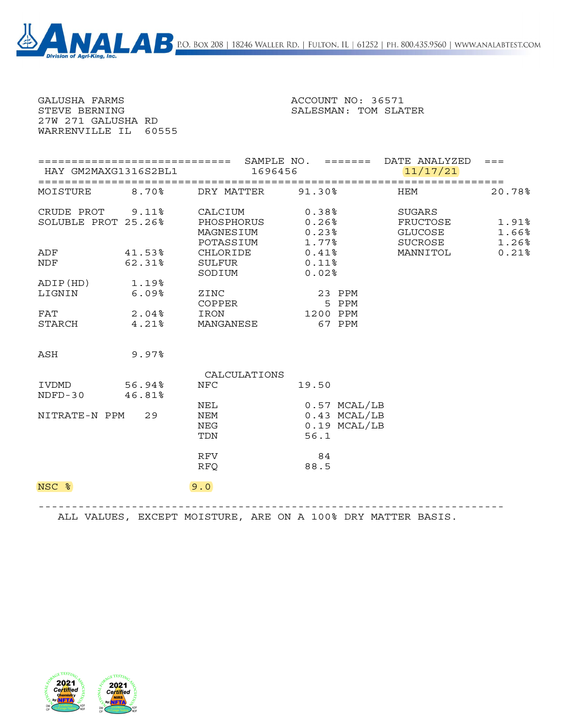| GALUSHA FARMS<br>STEVE BERNING<br>27W 271 GALUSHA RD<br>WARRENVILLE IL 60555 |                      | ACCOUNT NO: 36571<br>SALESMAN: TOM SLATER                        |                                                            |                                                                     |                         |
|------------------------------------------------------------------------------|----------------------|------------------------------------------------------------------|------------------------------------------------------------|---------------------------------------------------------------------|-------------------------|
|                                                                              | HAY GM2MAXG1316S2BL1 |                                                                  | 1696456                                                    | ===================================== DATE ANALYZED ===<br>11/17/21 |                         |
| MOISTURE 8.70%                                                               |                      | DRY MATTER 91.30%                                                |                                                            | <b>HEM</b>                                                          | 20.78%                  |
| SOLUBLE PROT 25.26%                                                          |                      | CRUDE PROT 9.11% CALCIUM<br>PHOSPHORUS<br>MAGNESIUM<br>POTASSIUM | 0.38%<br>0.26%<br>$0.23\%$<br>1.77%                        | SUGARS<br>FRUCTOSE<br>GLUCOSE<br>SUCROSE                            | 1.91%<br>1.66%<br>1.26% |
| ADF 41.53%<br><b>NDF</b>                                                     | $62.31$ <sup>8</sup> | SULFUR<br>SODIUM                                                 | CHLORIDE 0.41%<br>$0.11$ $8$<br>0.02%                      | MANNITOL                                                            | 0.21%                   |
| ADIP(HD) 1.19%<br>LIGNIN                                                     | 6.09%                | ZINC<br>COPPER                                                   | 23 PPM<br>5 PPM                                            |                                                                     |                         |
| FAT<br>$STARCH$ 4.21%                                                        | 2.04%                | IRON<br>MANGANESE                                                | 1200 PPM<br>67 PPM                                         |                                                                     |                         |
| ASH                                                                          | 9.97%                |                                                                  |                                                            |                                                                     |                         |
|                                                                              |                      | CALCULATIONS                                                     |                                                            |                                                                     |                         |
| IVDMD 56.94%<br>NDFD-30 46.81%                                               |                      | <b>NFC</b>                                                       | 19.50                                                      |                                                                     |                         |
| NITRATE-N PPM 29                                                             |                      | NEL<br>NEM<br>NEG<br>TDN                                         | $0.57$ MCAL/LB<br>$0.43$ MCAL/LB<br>$0.19$ MCAL/LB<br>56.1 |                                                                     |                         |
|                                                                              |                      | RFV<br><b>RFQ</b>                                                | 84<br>88.5                                                 |                                                                     |                         |
| NSC %                                                                        |                      | 9.0                                                              |                                                            |                                                                     |                         |

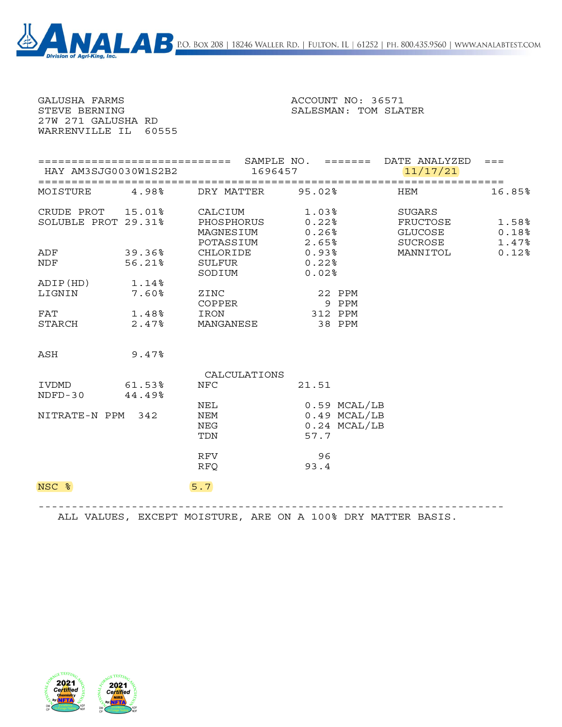) x 208 | 18246 Waller Rd. | Fulton, IL | 61252 | ph. 800.435.9560 | www.analabtest.com

| BО<br><b>Division of Agri-King, Inc.</b> |
|------------------------------------------|
|------------------------------------------|

| <b>GALUSHA FARMS</b><br>STEVE BERNING<br>27W 271 GALUSHA RD<br>WARRENVILLE IL 60555 |                          | ACCOUNT NO: 36571<br>SALESMAN: TOM SLATER                                                           |                                                              |                                          |                         |
|-------------------------------------------------------------------------------------|--------------------------|-----------------------------------------------------------------------------------------------------|--------------------------------------------------------------|------------------------------------------|-------------------------|
|                                                                                     | HAY AM3SJG0030W1S2B2     |                                                                                                     | 1696457                                                      | 11/17/21                                 |                         |
|                                                                                     | MOISTURE 4.98%           | DRY MATTER 95.02%                                                                                   |                                                              | <b>HEM</b>                               | 16.85%                  |
| SOLUBLE PROT 29.31%                                                                 |                          | CRUDE PROT 15.01% CALCIUM<br>SOLUBLE PROT 29.31% PHOSPHORUS<br>PHOSPHORUS<br>MAGNESIUM<br>POTASSIUM | 1.03%<br>$0.22$ %<br>0.26%<br>2.65%                          | SUGARS<br>FRUCTOSE<br>GLUCOSE<br>SUCROSE | 1.58%<br>0.18%<br>1.47% |
|                                                                                     | ADF 39.36%<br>NDF 56.21% | SULFUR<br>SODIUM                                                                                    | CHLORIDE 0.93%<br>$0.22$ %<br>0.02%                          | MANNITOL                                 | 0.12%                   |
| ADIP(HD) 1.14%<br>LIGNIN                                                            | 7.60%                    | ZINC<br>COPPER                                                                                      | 22 PPM<br>9 PPM                                              |                                          |                         |
| FAT<br>STARCH                                                                       | 1.48%<br>2.47%           | IRON<br>MANGANESE 38 PPM                                                                            | 312 PPM                                                      |                                          |                         |
| ASH                                                                                 | 9.47%                    |                                                                                                     |                                                              |                                          |                         |
|                                                                                     |                          | CALCULATIONS                                                                                        |                                                              |                                          |                         |
| IVDMD<br>NDFD-30 44.49%                                                             | 61.53%                   | NFC                                                                                                 | 21.51                                                        |                                          |                         |
| NITRATE-N PPM 342                                                                   |                          | NEL<br>NEM<br>NEG<br>TDN                                                                            | $0.59$ $MCAL/LB$<br>$0.49$ MCAL/LB<br>$0.24$ MCAL/LB<br>57.7 |                                          |                         |
|                                                                                     |                          | RFV<br><b>RFQ</b>                                                                                   | 96<br>93.4                                                   |                                          |                         |
| NSC %                                                                               |                          | 5.7                                                                                                 |                                                              |                                          |                         |



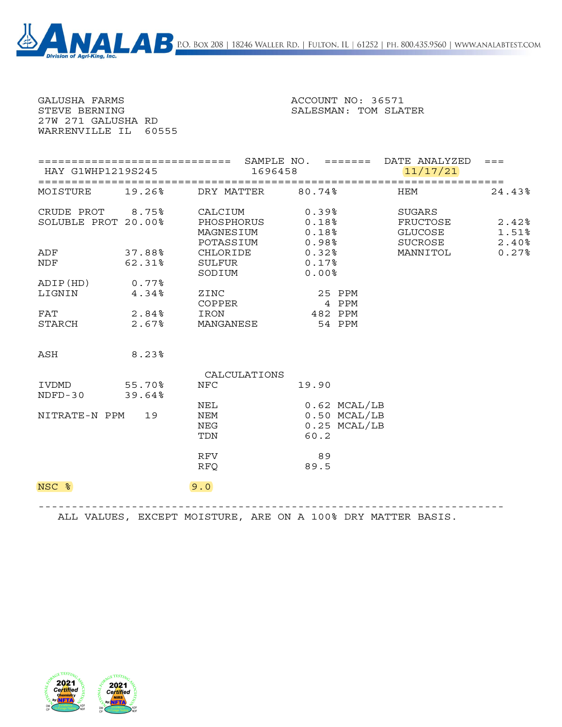| GALUSHA FARMS<br>STEVE BERNING<br>27W 271 GALUSHA RD<br>WARRENVILLE IL 60555 |                |                                                                  | ACCOUNT NO: 36571<br>SALESMAN: TOM SLATER                    |                                          |                            |
|------------------------------------------------------------------------------|----------------|------------------------------------------------------------------|--------------------------------------------------------------|------------------------------------------|----------------------------|
| HAY G1WHP1219S245                                                            |                |                                                                  | 1696458                                                      | 11/17/21                                 |                            |
| MOISTURE 19.26%                                                              |                | DRY MATTER 80.74%                                                |                                                              | HEM                                      | 24.43%                     |
| SOLUBLE PROT 20.00%                                                          |                | CRUDE PROT 8.75% CALCIUM<br>PHOSPHORUS<br>MAGNESIUM<br>POTASSIUM | 0.39%<br>0.18%<br>0.18%<br>0.98%                             | SUGARS<br>FRUCTOSE<br>GLUCOSE<br>SUCROSE | $2.42\%$<br>1.51%<br>2.40% |
| ADF 37.88%<br>NDF 62.31%                                                     |                | CHLORIDE<br>SULFUR<br>SODIUM                                     | $0.32$ %<br>$0.17$ %<br>$0.00$ %                             | MANNITOL                                 | 0.27%                      |
| ADIP(HD)<br>LIGNIN                                                           | 0.77%<br>4.34% | ZINC<br>COPPER                                                   | 25 PPM<br>4 PPM                                              |                                          |                            |
| FAT 2.84%<br>STARCH 2.67%                                                    |                | IRON                                                             | 482 PPM<br>MANGANESE 54 PPM                                  |                                          |                            |
| ASH                                                                          | $8.23\%$       |                                                                  |                                                              |                                          |                            |
|                                                                              |                | CALCULATIONS                                                     |                                                              |                                          |                            |
| IVDMD 55.70%<br>NDFD-30 39.64%                                               |                | <b>NFC</b>                                                       | 19.90                                                        |                                          |                            |
| NITRATE-N PPM 19                                                             |                | NEL<br><b>NEM</b><br>NEG<br>TDN                                  | $0.62$ MCAL/LB<br>$0.50$ $MCAL/LB$<br>$0.25$ MCAL/LB<br>60.2 |                                          |                            |
|                                                                              |                | RFV<br><b>RFQ</b>                                                | 89<br>89.5                                                   |                                          |                            |
| NSC %                                                                        |                | 9.0                                                              |                                                              |                                          |                            |

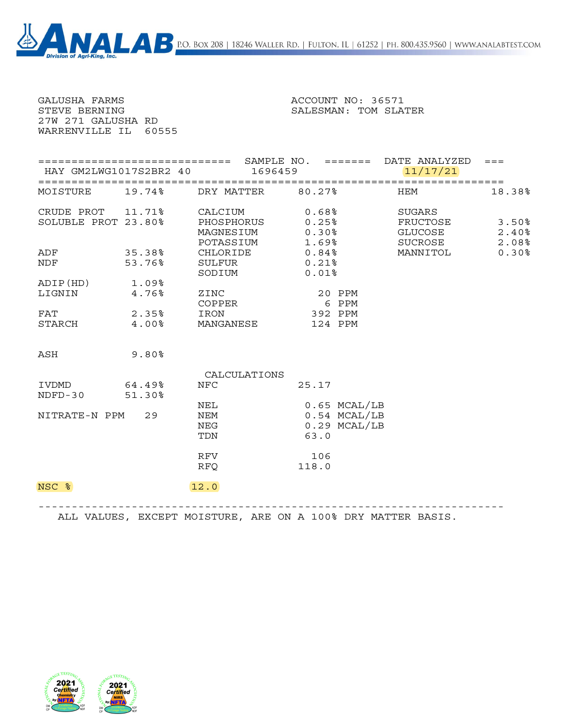ox 208 | 18246 Waller Rd. | Fulton, IL | 61252 | ph. 800.435.9560 | www.analabtest.com

| В<br><b>Division of Agri-King, Inc.</b> |
|-----------------------------------------|
|-----------------------------------------|

| <b>GALUSHA FARMS</b><br>STEVE BERNING<br>27W 271 GALUSHA RD<br>WARRENVILLE IL 60555 |                |                                                                                                     | ACCOUNT NO: 36571<br>SALESMAN: TOM SLATER                    |                                          |                         |
|-------------------------------------------------------------------------------------|----------------|-----------------------------------------------------------------------------------------------------|--------------------------------------------------------------|------------------------------------------|-------------------------|
| HAY GM2LWG1017S2BR2 40                                                              |                |                                                                                                     | 1696459                                                      | 11/17/21                                 |                         |
| MOISTURE                                                                            | 19.74%         | DRY MATTER 80.27%                                                                                   |                                                              | <b>HEM</b>                               | 18.38%                  |
| SOLUBLE PROT 23.80%                                                                 |                | CRUDE PROT 11.71% CALCIUM<br>SOLUBLE PROT 23.80% PHOSPHORUS<br>PHOSPHORUS<br>MAGNESIUM<br>POTASSIUM | 0.68%<br>0.25%<br>$0.30\%$<br>1.69%                          | SUGARS<br>FRUCTOSE<br>GLUCOSE<br>SUCROSE | 3.50%<br>2.40%<br>2.08% |
| ADF 35.38%<br><b>NDF</b>                                                            | 53.76%         | SULFUR<br>SODIUM                                                                                    | CHLORIDE 0.84%<br>0.21%<br>$0.01$ %                          | MANNITOL                                 | 0.30%                   |
| ADIP(HD) 1.09%<br>LIGNIN                                                            | 4.76%          | ZINC<br>COPPER                                                                                      | 20 PPM<br>6 PPM                                              |                                          |                         |
| FAT<br>STARCH                                                                       | 2.35%<br>4.00% | IRON<br>MANGANESE 124 PPM                                                                           | 392 PPM                                                      |                                          |                         |
| ASH                                                                                 | 9.80%          |                                                                                                     |                                                              |                                          |                         |
|                                                                                     |                | CALCULATIONS                                                                                        |                                                              |                                          |                         |
| IVDMD<br>NDFD-30 51.30%                                                             | 64.49%         | NFC                                                                                                 | 25.17                                                        |                                          |                         |
| NITRATE-N PPM 29                                                                    |                | NEL<br>NEM<br>NEG<br>TDN                                                                            | $0.65$ MCAL/LB<br>$0.54$ $MCAL/LB$<br>$0.29$ MCAL/LB<br>63.0 |                                          |                         |
|                                                                                     |                | RFV<br><b>RFQ</b>                                                                                   | 106<br>118.0                                                 |                                          |                         |
| NSC %                                                                               |                | 12.0                                                                                                |                                                              |                                          |                         |

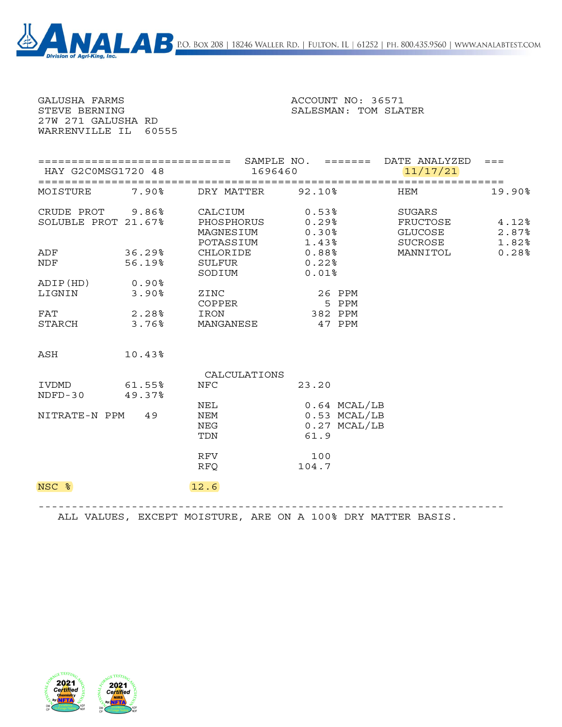| GALUSHA FARMS<br>STEVE BERNING<br>27W 271 GALUSHA RD<br>WARRENVILLE IL 60555 |                            |                                                    | ACCOUNT NO: 36571<br>SALESMAN: TOM SLATER                |                                                |                |
|------------------------------------------------------------------------------|----------------------------|----------------------------------------------------|----------------------------------------------------------|------------------------------------------------|----------------|
| HAY G2C0MSG1720 48                                                           |                            |                                                    | 1696460                                                  | 11/17/21                                       | $=$ $=$ $=$    |
| MOISTURE 7.90%                                                               |                            | DRY MATTER 92.10%                                  |                                                          | HEM                                            | 19.90%         |
| SOLUBLE PROT 21.67%                                                          |                            | CRUDE PROT 9.86% CALCIUM<br>MAGNESIUM<br>POTASSIUM | $0.53$ %<br>PHOSPHORUS 0.29%<br>$0.30\%$<br>1.43%        | SUGARS<br>FRUCTOSE 4.12%<br>GLUCOSE<br>SUCROSE | 2.87%<br>1.82% |
| ADF<br><b>NDF</b>                                                            | 36.29%<br>56.19%           | CHLORIDE<br>SULFUR<br>SODIUM                       | 0.88%<br>$0.22\$<br>$0.01$ %                             | MANNITOL                                       | 0.28%          |
| ADIP(HD) 0.90%<br>LIGNIN                                                     | $3.90\%$                   | ZINC<br>COPPER                                     | 26 PPM<br>5 PPM                                          |                                                |                |
| FAT<br>STARCH                                                                | $2.28$ $^{\circ}$<br>3.76% | IRON<br>MANGANESE                                  | 382 PPM<br>47 PPM                                        |                                                |                |
| ASH                                                                          | 10.43%                     |                                                    |                                                          |                                                |                |
| IVDMD<br>$NDFD-30$                                                           | 61.55%<br>49.37%           | CALCULATIONS<br><b>NFC</b>                         | 23.20                                                    |                                                |                |
| NITRATE-N PPM 49                                                             |                            | NEL<br>NEM<br>NEG<br>TDN                           | $0.64$ MCAL/LB<br>0.53 MCAL/LB<br>$0.27$ MCAL/LB<br>61.9 |                                                |                |
|                                                                              |                            | <b>RFV</b>                                         | 100                                                      |                                                |                |

NSC % 12.6

 $\blacktriangle$ 

 ---------------------------------------------------------------------- ALL VALUES, EXCEPT MOISTURE, ARE ON A 100% DRY MATTER BASIS.

RFQ 104.7



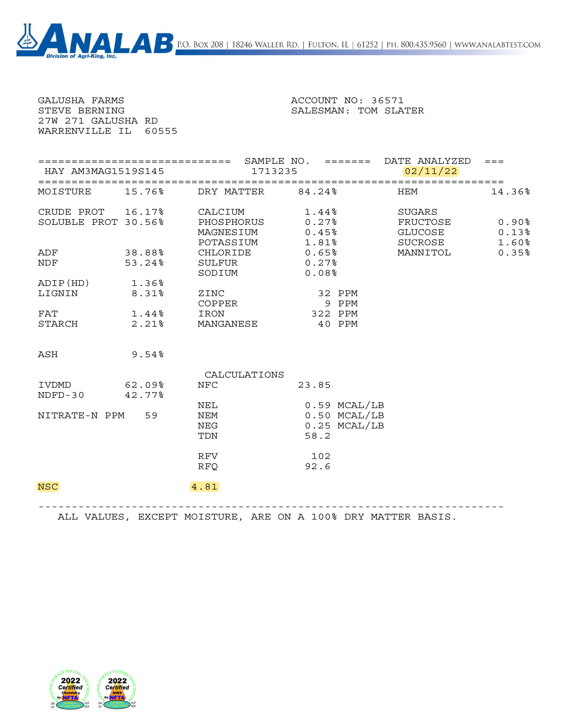| GALUSHA FARMS<br>STEVE BERNING<br>27W 271 GALUSHA RD | WARRENVILLE IL 60555                     | ACCOUNT NO: 36571<br>SALESMAN: TOM SLATER       |                                                              |                                          |                         |  |  |
|------------------------------------------------------|------------------------------------------|-------------------------------------------------|--------------------------------------------------------------|------------------------------------------|-------------------------|--|--|
|                                                      | HAY AM3MAG1519S145                       |                                                 | 1713235                                                      | 02/11/22                                 |                         |  |  |
|                                                      | MOISTURE 15.76%                          | DRY MATTER 84.24%                               |                                                              | HEM                                      | 14.36%                  |  |  |
|                                                      | CRUDE PROT 16.17%<br>SOLUBLE PROT 30.56% | CALCIUM<br>PHOSPHORUS<br>MAGNESIUM<br>POTASSIUM | 1.44%<br>$0.27\$<br>0.45%<br>1.81%                           | SUGARS<br>FRUCTOSE<br>GLUCOSE<br>SUCROSE | 0.90%<br>0.13%<br>1.60% |  |  |
| ADF<br>NDF                                           | 38.88<br>53.24%                          | CHLORIDE<br>SULFUR<br>SODIUM                    | 0.65%<br>$0.27\$<br>0.08%                                    | MANNITOL                                 | 0.35%                   |  |  |
| ADIP(HD) 1.36%<br>LIGNIN                             | 8.31%                                    | ZINC<br>COPPER                                  | 32 PPM<br>9 PPM                                              |                                          |                         |  |  |
| FAT<br>STARCH                                        | 1.44%<br>2.21%                           | IRON<br>MANGANESE                               | 322 PPM<br>40 PPM                                            |                                          |                         |  |  |
| ASH                                                  | 9.54%                                    |                                                 |                                                              |                                          |                         |  |  |
|                                                      |                                          | CALCULATIONS                                    |                                                              |                                          |                         |  |  |
| IVDMD 62.09%<br>$NDFD-30$                            | 42.77%                                   | <b>NFC</b>                                      | 23.85                                                        |                                          |                         |  |  |
| NITRATE-N PPM 59                                     |                                          | NEL<br>NEM<br>NEG<br>TDN                        | $0.59$ MCAL/LB<br>$0.50$ $MCAL/LB$<br>$0.25$ MCAL/LB<br>58.2 |                                          |                         |  |  |
|                                                      |                                          | RFV<br><b>RFQ</b>                               | 102<br>92.6                                                  |                                          |                         |  |  |
| <b>NSC</b>                                           |                                          | 4.81                                            |                                                              |                                          |                         |  |  |

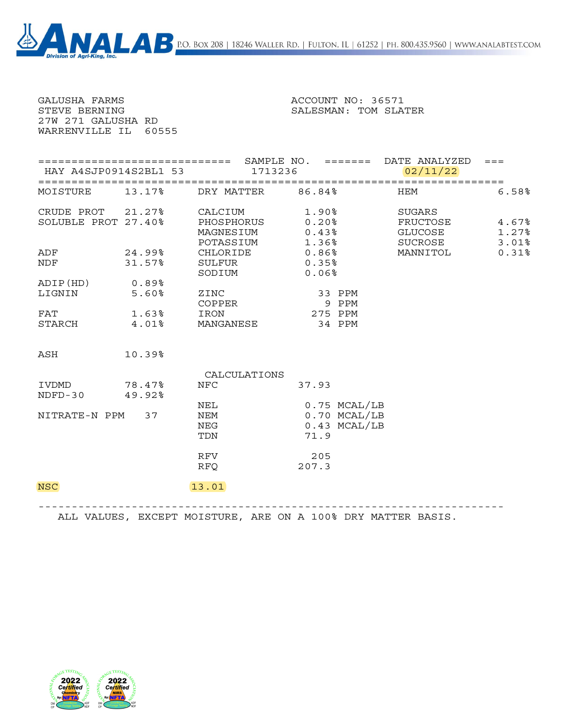| <b>GALUSHA FARMS</b><br>STEVE BERNING<br>27W 271 GALUSHA RD | WARRENVILLE IL 60555     | ACCOUNT NO: 36571<br>SALESMAN: TOM SLATER                                                           |                                                          |                                          |                         |  |  |
|-------------------------------------------------------------|--------------------------|-----------------------------------------------------------------------------------------------------|----------------------------------------------------------|------------------------------------------|-------------------------|--|--|
|                                                             | HAY A4SJP0914S2BL1 53    | 1713236                                                                                             |                                                          | 02/11/22                                 |                         |  |  |
|                                                             | MOISTURE 13.17%          | DRY MATTER 86.84%                                                                                   |                                                          | HEM                                      | 6.58%                   |  |  |
| SOLUBLE PROT 27.40%                                         |                          | CRUDE PROT 21.27% CALCIUM<br>SOLUBLE PROT 27.40% PHOSPHORUS<br>PHOSPHORUS<br>MAGNESIUM<br>POTASSIUM | $1.90\%$<br>$0.20\%$<br>0.43%<br>1.36%                   | SUGARS<br>FRUCTOSE<br>GLUCOSE<br>SUCROSE | 4.67%<br>1.27%<br>3.01% |  |  |
|                                                             | ADF 24.99%<br>NDF 31.57% | SULFUR<br>SODIUM                                                                                    | CHLORIDE 0.86%<br>0.35%<br>0.06%                         | MANNITOL                                 | 0.31%                   |  |  |
| ADIP(HD) 0.89%<br>LIGNIN                                    | 5.60%                    | ZINC<br>COPPER                                                                                      | 33 PPM<br>9 PPM                                          |                                          |                         |  |  |
| FAT<br>STARCH                                               | 1.63%                    | IRON<br>4.01% MANGANESE 34 PPM                                                                      | 275 PPM                                                  |                                          |                         |  |  |
| ASH                                                         | 10.39%                   |                                                                                                     |                                                          |                                          |                         |  |  |
|                                                             |                          | CALCULATIONS                                                                                        |                                                          |                                          |                         |  |  |
| IVDMD 78.47%<br>NDFD-30 49.92%                              |                          | <b>NFC</b>                                                                                          | 37.93                                                    |                                          |                         |  |  |
| NITRATE-N PPM 37                                            |                          | NEL<br><b>NEM</b><br>NEG<br>TDN                                                                     | 0.75 MCAL/LB<br>$0.70$ MCAL/LB<br>$0.43$ MCAL/LB<br>71.9 |                                          |                         |  |  |
|                                                             |                          | RFV<br><b>RFQ</b>                                                                                   | 205<br>207.3                                             |                                          |                         |  |  |
| <b>NSC</b>                                                  |                          | 13.01                                                                                               |                                                          |                                          |                         |  |  |

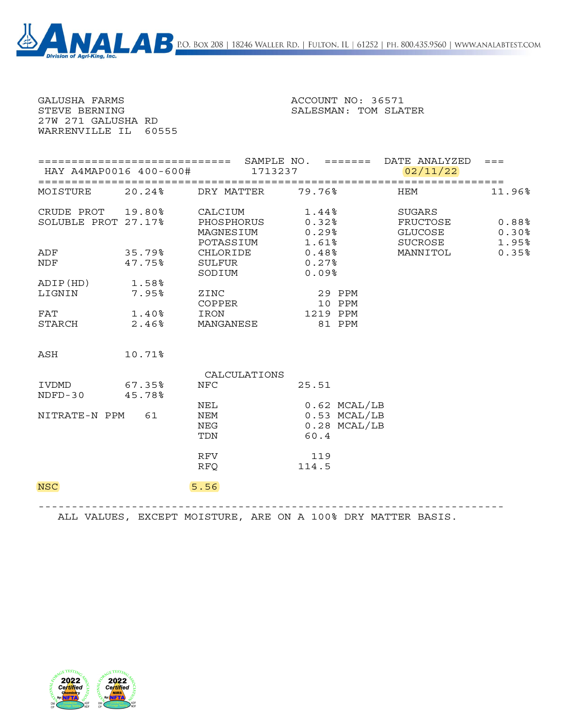| GALUSHA FARMS<br>STEVE BERNING<br>27W 271 GALUSHA RD<br>WARRENVILLE IL 60555 |                        | ACCOUNT NO: 36571<br>SALESMAN: TOM SLATER       |                                                            |                                          |                         |  |  |
|------------------------------------------------------------------------------|------------------------|-------------------------------------------------|------------------------------------------------------------|------------------------------------------|-------------------------|--|--|
|                                                                              | HAY A4MAP0016 400-600# | 1713237                                         |                                                            | 02/11/22                                 |                         |  |  |
| MOISTURE                                                                     | $20.24\%$              | DRY MATTER 79.76%                               |                                                            | HEM                                      | 11.96%                  |  |  |
| CRUDE PROT 19.80%<br>SOLUBLE PROT 27.17%                                     |                        | CALCIUM<br>PHOSPHORUS<br>MAGNESIUM<br>POTASSIUM | 1.44%<br>$0.32\$<br>0.29%<br>1.61%                         | SUGARS<br>FRUCTOSE<br>GLUCOSE<br>SUCROSE | 0.88%<br>0.30%<br>1.95% |  |  |
| ADF<br><b>NDF</b>                                                            | 35.79%<br>47.75%       | SULFUR<br>SODIUM                                | CHLORIDE 0.48%<br>0.27%<br>0.09%                           | MANNITOL                                 | 0.35%                   |  |  |
| ADIP(HD) 1.58%<br>LIGNIN                                                     | 7.95%                  | ZINC<br>COPPER                                  | 29 PPM<br>10 PPM                                           |                                          |                         |  |  |
| FAT<br>STARCH                                                                | 1.40%<br>2.46%         | IRON<br>MANGANESE                               | 1219 PPM<br>81 PPM                                         |                                          |                         |  |  |
| ASH                                                                          | 10.71%                 |                                                 |                                                            |                                          |                         |  |  |
|                                                                              |                        | CALCULATIONS                                    |                                                            |                                          |                         |  |  |
| IVDMD<br>NDFD-30 45.78%                                                      | 67.35%                 | <b>NFC</b>                                      | 25.51                                                      |                                          |                         |  |  |
| NITRATE-N PPM 61                                                             |                        | NEL<br>NEM<br>NEG<br>TDN                        | $0.62$ MCAL/LB<br>$0.53$ MCAL/LB<br>$0.28$ MCAL/LB<br>60.4 |                                          |                         |  |  |
|                                                                              |                        | RFV<br><b>RFQ</b>                               | 119<br>114.5                                               |                                          |                         |  |  |
| <b>NSC</b>                                                                   |                        | 5.56                                            |                                                            |                                          |                         |  |  |

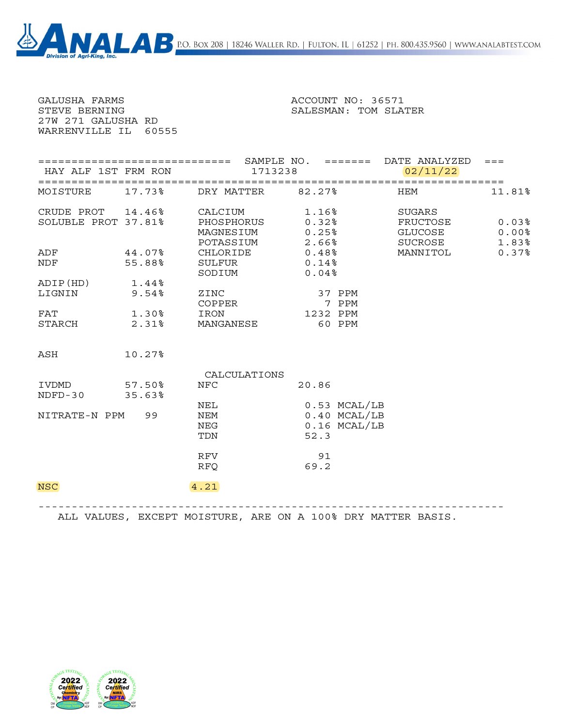| GALUSHA FARMS<br>STEVE BERNING<br>27W 271 GALUSHA RD<br>WARRENVILLE IL 60555 |        |                                                                   | ACCOUNT NO: 36571<br>SALESMAN: TOM SLATER              |                                          |                         |
|------------------------------------------------------------------------------|--------|-------------------------------------------------------------------|--------------------------------------------------------|------------------------------------------|-------------------------|
| HAY ALF 1ST FRM RON                                                          |        |                                                                   | 1713238                                                | 02/11/22                                 |                         |
| MOISTURE 17.73%                                                              |        | DRY MATTER 82.27%                                                 |                                                        | <b>HEM</b>                               | 11.81%                  |
| SOLUBLE PROT 37.81%                                                          |        | CRUDE PROT 14.46% CALCIUM<br>PHOSPHORUS<br>MAGNESIUM<br>POTASSIUM | 1.16%<br>0.32%<br>$0.25\%$<br>2.25%                    | SUGARS<br>FRUCTOSE<br>GLUCOSE<br>SUCROSE | 0.03%<br>0.00%<br>1.83% |
| ADF 44.07%<br>NDF 55.88%                                                     |        | CHLORIDE<br>SULFUR 0.14%<br>SODIUM                                | 0.48%<br>0.04%                                         | MANNITOL                                 | 0.37%                   |
| ADIP(HD) 1.44%<br>LIGNIN                                                     | 9.54%  | ZINC<br>COPPER                                                    | 37 PPM<br>7 PPM                                        |                                          |                         |
| FAT<br>STARCH 2.31%                                                          | 1.30%  | IRON<br>MANGANESE 60 PPM                                          | 1232 PPM                                               |                                          |                         |
| ASH                                                                          | 10.27% |                                                                   |                                                        |                                          |                         |
|                                                                              |        | CALCULATIONS                                                      |                                                        |                                          |                         |
| IVDMD 57.50%<br>NDFD-30 35.63%                                               |        | <b>NFC</b>                                                        | 20.86                                                  |                                          |                         |
| NITRATE-N PPM 99                                                             |        | NEL<br>NEM<br>NEG<br>TDN                                          | 0.53 MCAL/LB<br>$0.40$ MCAL/LB<br>0.16 MCAL/LB<br>52.3 |                                          |                         |
|                                                                              |        | RFV<br><b>RFQ</b>                                                 | 91<br>69.2                                             |                                          |                         |
| <b>NSC</b>                                                                   |        | 4.21                                                              |                                                        |                                          |                         |